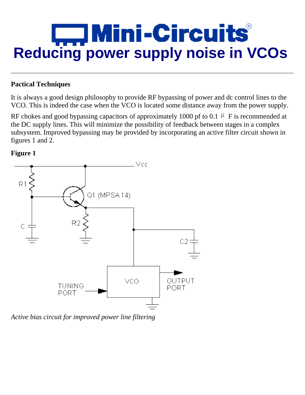

## **Pactical Techniques**

It is always a good design philosophy to provide RF bypassing of power and dc control lines to the VCO. This is indeed the case when the VCO is located some distance away from the power supply.

RF chokes and good bypassing capacitors of approximately 1000 pf to 0.1  $\mu$  F is recommended at the DC supply lines. This will minimize the possibility of feedback between stages in a complex subsystem. Improved bypassing may be provided by incorporating an active filter circuit shown in figures 1 and 2.





*Active bias circuit for improved power line filtering*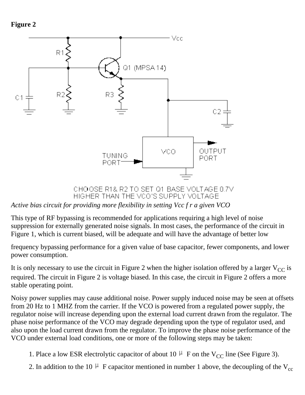**Figure 2**



HIGHER THAN THE VCO'S SUPPLY VOLTAGE

*Active bias circuit for providing more flexibility in setting Vcc f r a given VCO*

This type of RF bypassing is recommended for applications requiring a high level of noise suppression for externally generated noise signals. In most cases, the performance of the circuit in Figure 1, which is current biased, will be adequate and will have the advantage of better low

frequency bypassing performance for a given value of base capacitor, fewer components, and lower power consumption.

It is only necessary to use the circuit in Figure 2 when the higher isolation offered by a larger  $V_{CC}$  is required. The circuit in Figure 2 is voltage biased. In this case, the circuit in Figure 2 offers a more stable operating point.

Noisy power supplies may cause additional noise. Power supply induced noise may be seen at offsets from 20 Hz to 1 MHZ from the carrier. If the VCO is powered from a regulated power supply, the regulator noise will increase depending upon the external load current drawn from the regulator. The phase noise performance of the VCO may degrade depending upon the type of regulator used, and also upon the load current drawn from the regulator. To improve the phase noise performance of the VCO under external load conditions, one or more of the following steps may be taken:

- 1. Place a low ESR electrolytic capacitor of about 10  $\mu$  F on the V<sub>CC</sub> line (See Figure 3).
- 2. In addition to the 10  $\mu$  F capacitor mentioned in number 1 above, the decoupling of the V<sub>cc</sub>